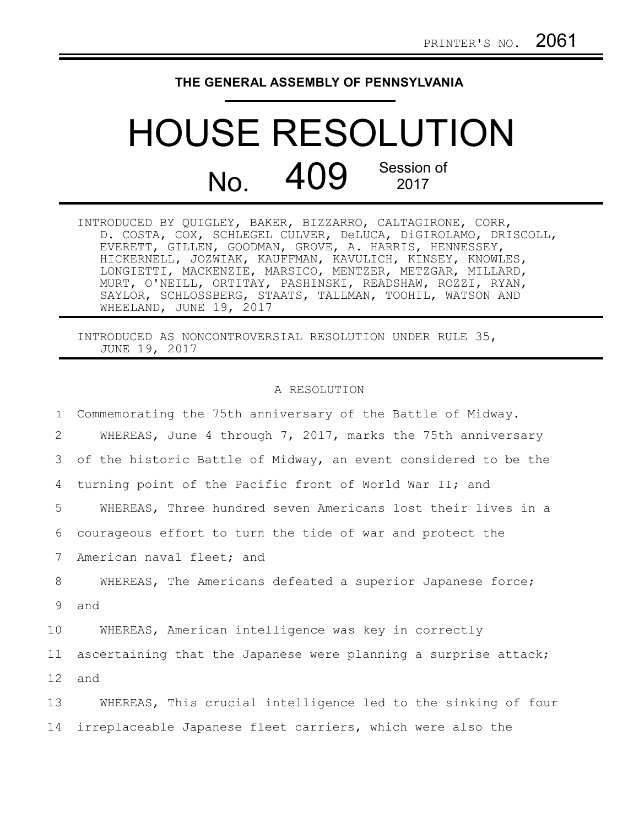## **THE GENERAL ASSEMBLY OF PENNSYLVANIA**

## HOUSE RESOLUTION  $N<sub>0</sub>$  409 Session of 2017

INTRODUCED BY QUIGLEY, BAKER, BIZZARRO, CALTAGIRONE, CORR, D. COSTA, COX, SCHLEGEL CULVER, DeLUCA, DiGIROLAMO, DRISCOLL, EVERETT, GILLEN, GOODMAN, GROVE, A. HARRIS, HENNESSEY, HICKERNELL, JOZWIAK, KAUFFMAN, KAVULICH, KINSEY, KNOWLES, LONGIETTI, MACKENZIE, MARSICO, MENTZER, METZGAR, MILLARD, MURT, O'NEILL, ORTITAY, PASHINSKI, READSHAW, ROZZI, RYAN, SAYLOR, SCHLOSSBERG, STAATS, TALLMAN, TOOHIL, WATSON AND WHEELAND, JUNE 19, 2017

INTRODUCED AS NONCONTROVERSIAL RESOLUTION UNDER RULE 35, JUNE 19, 2017

## A RESOLUTION

| $\mathbf{1}$    | Commemorating the 75th anniversary of the Battle of Midway.     |
|-----------------|-----------------------------------------------------------------|
| 2               | WHEREAS, June 4 through 7, 2017, marks the 75th anniversary     |
| 3               | of the historic Battle of Midway, an event considered to be the |
| 4               | turning point of the Pacific front of World War II; and         |
| 5               | WHEREAS, Three hundred seven Americans lost their lives in a    |
| 6               | courageous effort to turn the tide of war and protect the       |
| $7\phantom{.0}$ | American naval fleet; and                                       |
| 8               | WHEREAS, The Americans defeated a superior Japanese force;      |
| 9               | and                                                             |
| 10              | WHEREAS, American intelligence was key in correctly             |
| 11              | ascertaining that the Japanese were planning a surprise attack; |
| 12              | and                                                             |
| 13              | WHEREAS, This crucial intelligence led to the sinking of four   |
| 14              | irreplaceable Japanese fleet carriers, which were also the      |
|                 |                                                                 |